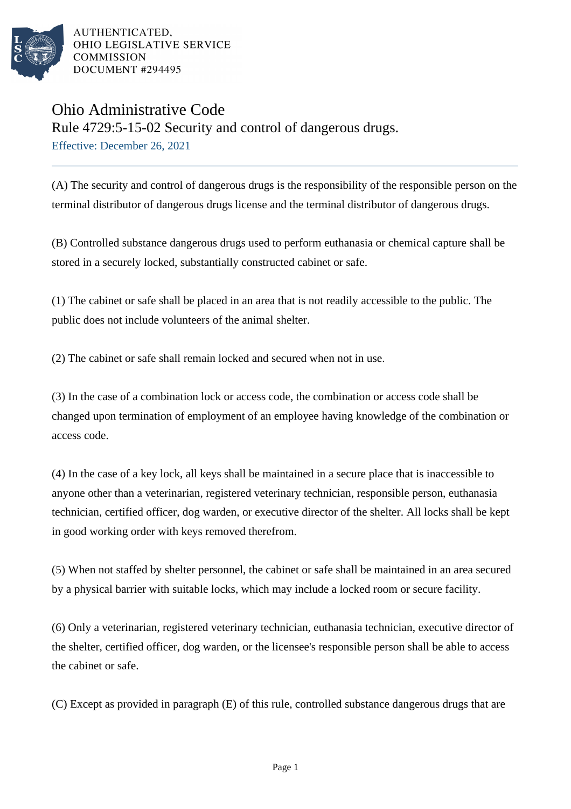

## Ohio Administrative Code

Rule 4729:5-15-02 Security and control of dangerous drugs. Effective: December 26, 2021

(A) The security and control of dangerous drugs is the responsibility of the responsible person on the terminal distributor of dangerous drugs license and the terminal distributor of dangerous drugs.

(B) Controlled substance dangerous drugs used to perform euthanasia or chemical capture shall be stored in a securely locked, substantially constructed cabinet or safe.

(1) The cabinet or safe shall be placed in an area that is not readily accessible to the public. The public does not include volunteers of the animal shelter.

(2) The cabinet or safe shall remain locked and secured when not in use.

(3) In the case of a combination lock or access code, the combination or access code shall be changed upon termination of employment of an employee having knowledge of the combination or access code.

(4) In the case of a key lock, all keys shall be maintained in a secure place that is inaccessible to anyone other than a veterinarian, registered veterinary technician, responsible person, euthanasia technician, certified officer, dog warden, or executive director of the shelter. All locks shall be kept in good working order with keys removed therefrom.

(5) When not staffed by shelter personnel, the cabinet or safe shall be maintained in an area secured by a physical barrier with suitable locks, which may include a locked room or secure facility.

(6) Only a veterinarian, registered veterinary technician, euthanasia technician, executive director of the shelter, certified officer, dog warden, or the licensee's responsible person shall be able to access the cabinet or safe.

(C) Except as provided in paragraph (E) of this rule, controlled substance dangerous drugs that are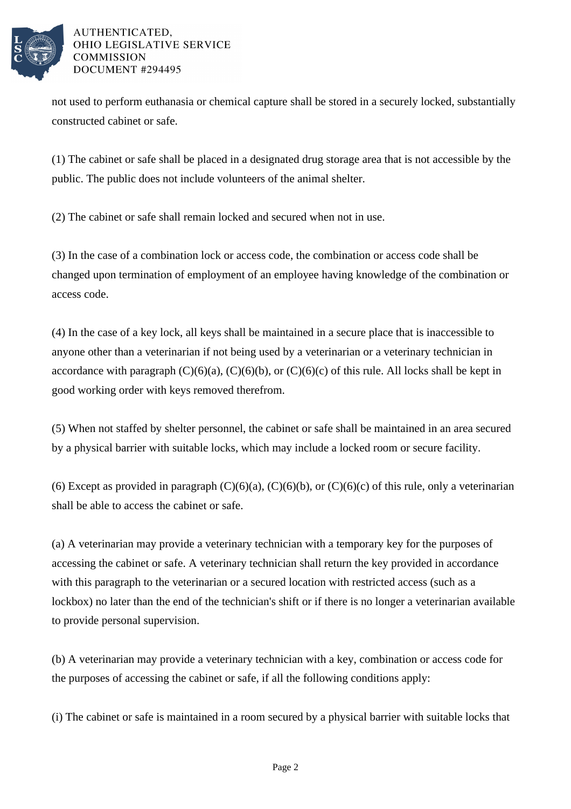

not used to perform euthanasia or chemical capture shall be stored in a securely locked, substantially constructed cabinet or safe.

(1) The cabinet or safe shall be placed in a designated drug storage area that is not accessible by the public. The public does not include volunteers of the animal shelter.

(2) The cabinet or safe shall remain locked and secured when not in use.

(3) In the case of a combination lock or access code, the combination or access code shall be changed upon termination of employment of an employee having knowledge of the combination or access code.

(4) In the case of a key lock, all keys shall be maintained in a secure place that is inaccessible to anyone other than a veterinarian if not being used by a veterinarian or a veterinary technician in accordance with paragraph  $(C)(6)(a)$ ,  $(C)(6)(b)$ , or  $(C)(6)(c)$  of this rule. All locks shall be kept in good working order with keys removed therefrom.

(5) When not staffed by shelter personnel, the cabinet or safe shall be maintained in an area secured by a physical barrier with suitable locks, which may include a locked room or secure facility.

(6) Except as provided in paragraph  $(C)(6)(a)$ ,  $(C)(6)(b)$ , or  $(C)(6)(c)$  of this rule, only a veterinarian shall be able to access the cabinet or safe.

(a) A veterinarian may provide a veterinary technician with a temporary key for the purposes of accessing the cabinet or safe. A veterinary technician shall return the key provided in accordance with this paragraph to the veterinarian or a secured location with restricted access (such as a lockbox) no later than the end of the technician's shift or if there is no longer a veterinarian available to provide personal supervision.

(b) A veterinarian may provide a veterinary technician with a key, combination or access code for the purposes of accessing the cabinet or safe, if all the following conditions apply:

(i) The cabinet or safe is maintained in a room secured by a physical barrier with suitable locks that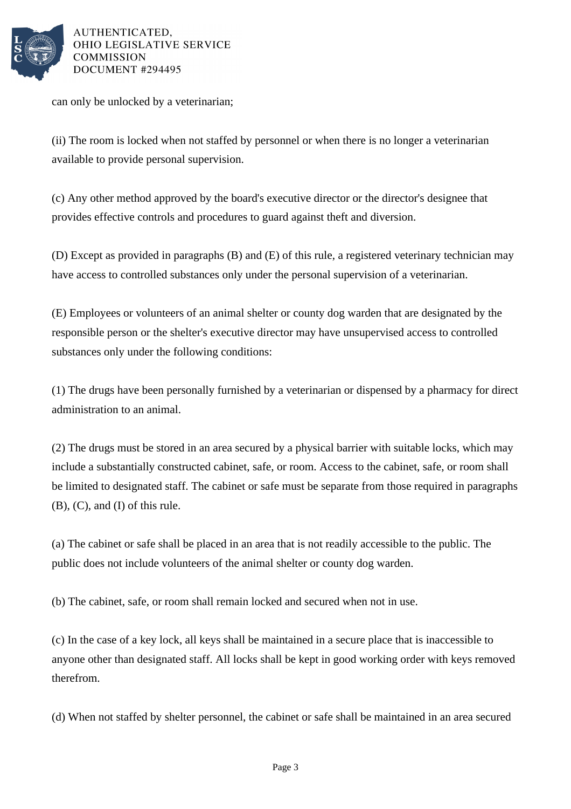

can only be unlocked by a veterinarian;

(ii) The room is locked when not staffed by personnel or when there is no longer a veterinarian available to provide personal supervision.

(c) Any other method approved by the board's executive director or the director's designee that provides effective controls and procedures to guard against theft and diversion.

(D) Except as provided in paragraphs (B) and (E) of this rule, a registered veterinary technician may have access to controlled substances only under the personal supervision of a veterinarian.

(E) Employees or volunteers of an animal shelter or county dog warden that are designated by the responsible person or the shelter's executive director may have unsupervised access to controlled substances only under the following conditions:

(1) The drugs have been personally furnished by a veterinarian or dispensed by a pharmacy for direct administration to an animal.

(2) The drugs must be stored in an area secured by a physical barrier with suitable locks, which may include a substantially constructed cabinet, safe, or room. Access to the cabinet, safe, or room shall be limited to designated staff. The cabinet or safe must be separate from those required in paragraphs (B), (C), and (I) of this rule.

(a) The cabinet or safe shall be placed in an area that is not readily accessible to the public. The public does not include volunteers of the animal shelter or county dog warden.

(b) The cabinet, safe, or room shall remain locked and secured when not in use.

(c) In the case of a key lock, all keys shall be maintained in a secure place that is inaccessible to anyone other than designated staff. All locks shall be kept in good working order with keys removed therefrom.

(d) When not staffed by shelter personnel, the cabinet or safe shall be maintained in an area secured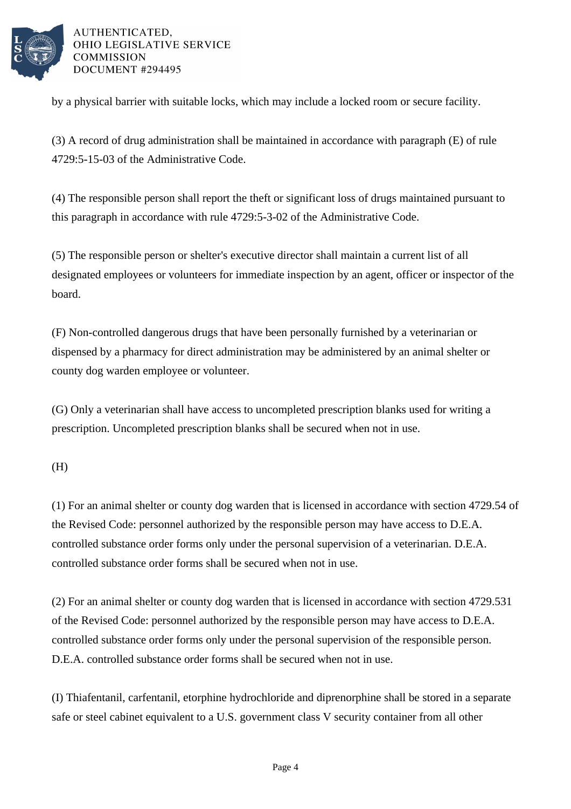

by a physical barrier with suitable locks, which may include a locked room or secure facility.

(3) A record of drug administration shall be maintained in accordance with paragraph (E) of rule 4729:5-15-03 of the Administrative Code.

(4) The responsible person shall report the theft or significant loss of drugs maintained pursuant to this paragraph in accordance with rule 4729:5-3-02 of the Administrative Code.

(5) The responsible person or shelter's executive director shall maintain a current list of all designated employees or volunteers for immediate inspection by an agent, officer or inspector of the board.

(F) Non-controlled dangerous drugs that have been personally furnished by a veterinarian or dispensed by a pharmacy for direct administration may be administered by an animal shelter or county dog warden employee or volunteer.

(G) Only a veterinarian shall have access to uncompleted prescription blanks used for writing a prescription. Uncompleted prescription blanks shall be secured when not in use.

(H)

(1) For an animal shelter or county dog warden that is licensed in accordance with section 4729.54 of the Revised Code: personnel authorized by the responsible person may have access to D.E.A. controlled substance order forms only under the personal supervision of a veterinarian. D.E.A. controlled substance order forms shall be secured when not in use.

(2) For an animal shelter or county dog warden that is licensed in accordance with section 4729.531 of the Revised Code: personnel authorized by the responsible person may have access to D.E.A. controlled substance order forms only under the personal supervision of the responsible person. D.E.A. controlled substance order forms shall be secured when not in use.

(I) Thiafentanil, carfentanil, etorphine hydrochloride and diprenorphine shall be stored in a separate safe or steel cabinet equivalent to a U.S. government class V security container from all other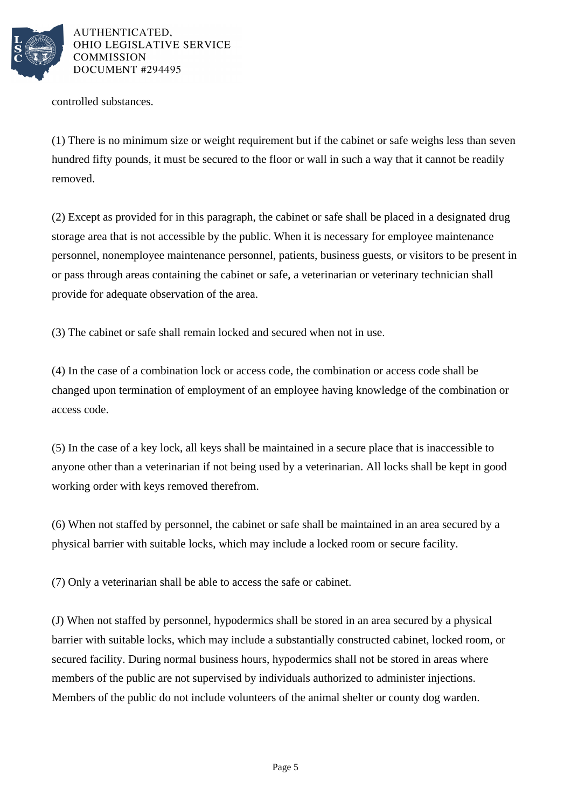

controlled substances.

(1) There is no minimum size or weight requirement but if the cabinet or safe weighs less than seven hundred fifty pounds, it must be secured to the floor or wall in such a way that it cannot be readily removed.

(2) Except as provided for in this paragraph, the cabinet or safe shall be placed in a designated drug storage area that is not accessible by the public. When it is necessary for employee maintenance personnel, nonemployee maintenance personnel, patients, business guests, or visitors to be present in or pass through areas containing the cabinet or safe, a veterinarian or veterinary technician shall provide for adequate observation of the area.

(3) The cabinet or safe shall remain locked and secured when not in use.

(4) In the case of a combination lock or access code, the combination or access code shall be changed upon termination of employment of an employee having knowledge of the combination or access code.

(5) In the case of a key lock, all keys shall be maintained in a secure place that is inaccessible to anyone other than a veterinarian if not being used by a veterinarian. All locks shall be kept in good working order with keys removed therefrom.

(6) When not staffed by personnel, the cabinet or safe shall be maintained in an area secured by a physical barrier with suitable locks, which may include a locked room or secure facility.

(7) Only a veterinarian shall be able to access the safe or cabinet.

(J) When not staffed by personnel, hypodermics shall be stored in an area secured by a physical barrier with suitable locks, which may include a substantially constructed cabinet, locked room, or secured facility. During normal business hours, hypodermics shall not be stored in areas where members of the public are not supervised by individuals authorized to administer injections. Members of the public do not include volunteers of the animal shelter or county dog warden.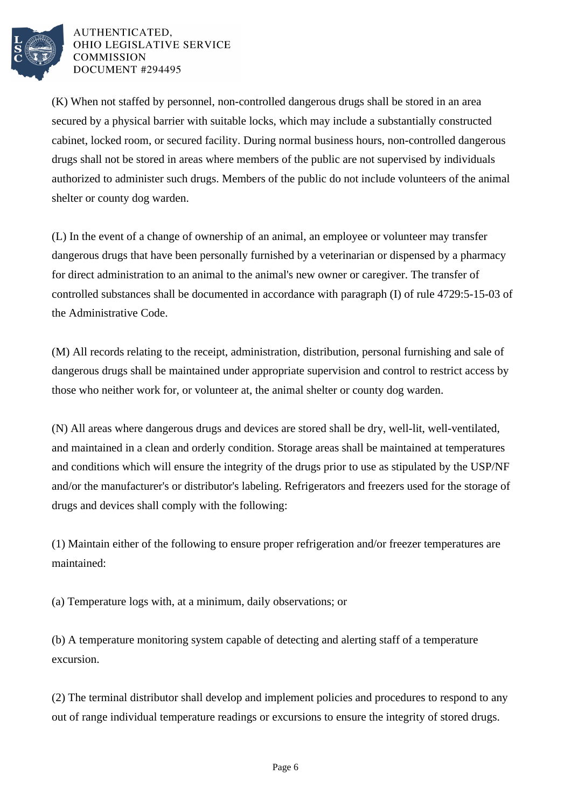

(K) When not staffed by personnel, non-controlled dangerous drugs shall be stored in an area secured by a physical barrier with suitable locks, which may include a substantially constructed cabinet, locked room, or secured facility. During normal business hours, non-controlled dangerous drugs shall not be stored in areas where members of the public are not supervised by individuals authorized to administer such drugs. Members of the public do not include volunteers of the animal shelter or county dog warden.

(L) In the event of a change of ownership of an animal, an employee or volunteer may transfer dangerous drugs that have been personally furnished by a veterinarian or dispensed by a pharmacy for direct administration to an animal to the animal's new owner or caregiver. The transfer of controlled substances shall be documented in accordance with paragraph (I) of rule 4729:5-15-03 of the Administrative Code.

(M) All records relating to the receipt, administration, distribution, personal furnishing and sale of dangerous drugs shall be maintained under appropriate supervision and control to restrict access by those who neither work for, or volunteer at, the animal shelter or county dog warden.

(N) All areas where dangerous drugs and devices are stored shall be dry, well-lit, well-ventilated, and maintained in a clean and orderly condition. Storage areas shall be maintained at temperatures and conditions which will ensure the integrity of the drugs prior to use as stipulated by the USP/NF and/or the manufacturer's or distributor's labeling. Refrigerators and freezers used for the storage of drugs and devices shall comply with the following:

(1) Maintain either of the following to ensure proper refrigeration and/or freezer temperatures are maintained:

(a) Temperature logs with, at a minimum, daily observations; or

(b) A temperature monitoring system capable of detecting and alerting staff of a temperature excursion.

(2) The terminal distributor shall develop and implement policies and procedures to respond to any out of range individual temperature readings or excursions to ensure the integrity of stored drugs.